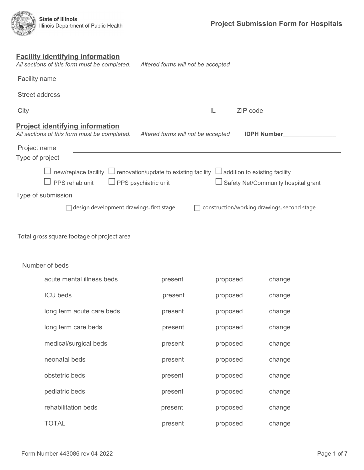# **Facility identifying information**

| All sections of this form must be completed.                                           | Altered forms will not be accepted                                                                                   |                |                                             |  |
|----------------------------------------------------------------------------------------|----------------------------------------------------------------------------------------------------------------------|----------------|---------------------------------------------|--|
| Facility name                                                                          |                                                                                                                      |                |                                             |  |
| Street address                                                                         |                                                                                                                      |                |                                             |  |
| City<br>the control of the control of the control of the control of the control of     |                                                                                                                      | ZIP code<br>IL |                                             |  |
| <b>Project identifying information</b><br>All sections of this form must be completed. | Altered forms will not be accepted                                                                                   |                | <b>IDPH Number</b>                          |  |
| Project name<br>Type of project                                                        | <u> 1980 - Johann Stein, marwolaethau a bhann an t-Amhair ann an t-Amhair an t-Amhair an t-Amhair an t-Amhair an</u> |                |                                             |  |
| new/replace facility $\lfloor$<br>PPS rehab unit<br>PPS psychiatric unit               | $\perp$ renovation/update to existing facility                                                                       |                | Safety Net/Community hospital grant         |  |
| Type of submission                                                                     |                                                                                                                      |                |                                             |  |
| design development drawings, first stage                                               |                                                                                                                      |                | construction/working drawings, second stage |  |
| Total gross square footage of project area<br>Number of beds                           |                                                                                                                      |                |                                             |  |
| acute mental illness beds                                                              | present                                                                                                              | proposed       | change                                      |  |
| <b>ICU</b> beds                                                                        | present                                                                                                              | proposed       | change                                      |  |
| long term acute care beds                                                              | present                                                                                                              | proposed       | change                                      |  |
| long term care beds                                                                    | present                                                                                                              | proposed       | change                                      |  |
| medical/surgical beds                                                                  | present                                                                                                              | proposed       | change                                      |  |
| neonatal beds                                                                          | present                                                                                                              | proposed       | change                                      |  |
| obstetric beds                                                                         | present                                                                                                              | proposed       | change                                      |  |
| pediatric beds                                                                         | present                                                                                                              | proposed       | change                                      |  |
| rehabilitation beds                                                                    | present                                                                                                              | proposed       | change                                      |  |
| <b>TOTAL</b>                                                                           | present                                                                                                              | proposed       | change                                      |  |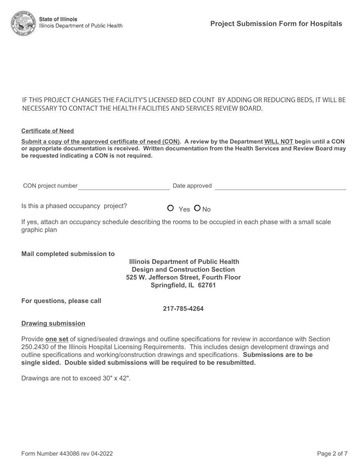### IF THIS PROJECT CHANGES THE FACILITY'S LICENSED BED COUNT BY ADDING OR REDUCING BEDS, IT WILL BE NECESSARY TO CONTACT THE HEALTH FACILITIES AND SERVICES REVIEW BOARD.

#### **Certificate of Need**

**Submit a copy of the approved certificate of need (CON). A review by the Department WILL NOT begin until a CON or appropriate documentation is received. Written documentation from the Health Services and Review Board may be requested indicating a CON is not required.** 

CON project number and the Date approved Date approved

Is this a phased occupancy project?  $Q_{Yes} Q_{No}$ 

If yes, attach an occupancy schedule describing the rooms to be occupied in each phase with a small scale graphic plan

#### **Mail completed submission to**

### **Illinois Department of Public Health Design and Construction Section 525 W. Jefferson Street, Fourth Floor Springfield, IL 62761**

**For questions, please call** 

#### **217-785-4264**

#### **Drawing submission**

Provide **one set** of signed/sealed drawings and outline specifications for review in accordance with Section 250.2430 of the Illinois Hospital Licensing Requirements. This includes design development drawings and outline specifications and working/construction drawings and specifications. **Submissions are to be single sided. Double sided submissions will be required to be resubmitted.**

Drawings are not to exceed 30" x 42".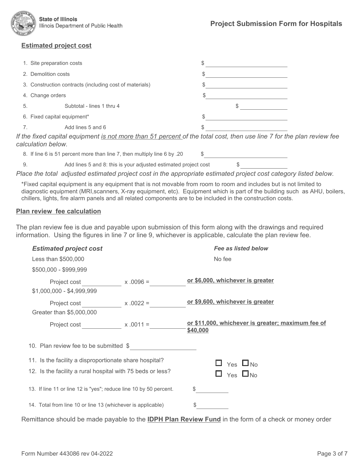

## **Estimated project cost**

| 1. Site preparation costs   |                                                         | S |  |
|-----------------------------|---------------------------------------------------------|---|--|
| 2. Demolition costs         |                                                         | S |  |
|                             | 3. Construction contracts (including cost of materials) | S |  |
| 4. Change orders            |                                                         | S |  |
| 5.                          | Subtotal - lines 1 thru 4                               |   |  |
| 6. Fixed capital equipment* |                                                         | S |  |
|                             | Add lines 5 and 6                                       | S |  |

*If the fixed capital equipment is not more than 51 percent of the total cost, then use line 7 for the plan review fee calculation below.*

8. If line 6 is 51 percent more than line 7, then multiply line 6 by .20 \$

9. Add lines 5 and 8: this is your adjusted estimated project cost \$

*Place the total adjusted estimated project cost in the appropriate estimated project cost category listed below.*

\*Fixed capital equipment is any equipment that is not movable from room to room and includes but is not limited to diagnostic equipment (MRI,scanners, X-ray equipment, etc). Equipment which is part of the building such as AHU, boilers, chillers, lights, fire alarm panels and all related components are to be included in the construction costs.

#### **Plan review fee calculation**

The plan review fee is due and payable upon submission of this form along with the drawings and required information. Using the figures in line 7 or line 9, whichever is applicable, calculate the plan review fee.

| <b>Estimated project cost</b>                                     |             | <b>Fee as listed below</b>                                    |
|-------------------------------------------------------------------|-------------|---------------------------------------------------------------|
| Less than \$500,000                                               |             | No fee                                                        |
| \$500,000 - \$999,999                                             |             |                                                               |
| Project cost                                                      | $x.0096 =$  | or \$6,000, whichever is greater                              |
| $$1,000,000 - $4,999,999$                                         |             |                                                               |
| Project cost Froject Cost                                         | $x .0022 =$ | or \$9,600, whichever is greater                              |
| Greater than \$5,000,000                                          |             |                                                               |
| Project cost                                                      | $x .0011 =$ | or \$11,000, whichever is greater; maximum fee of<br>\$40,000 |
| 10. Plan review fee to be submitted \$                            |             |                                                               |
| 11. Is the facility a disproportionate share hospital?            |             | $\Box$ Yes $\Box$ No                                          |
| 12. Is the facility a rural hospital with 75 beds or less?        |             | $\Box$ Yes $\Box$ No                                          |
| 13. If line 11 or line 12 is "yes"; reduce line 10 by 50 percent. |             | \$                                                            |
| 14. Total from line 10 or line 13 (whichever is applicable)       |             | S                                                             |

Remittance should be made payable to the **IDPH Plan Review Fund** in the form of a check or money order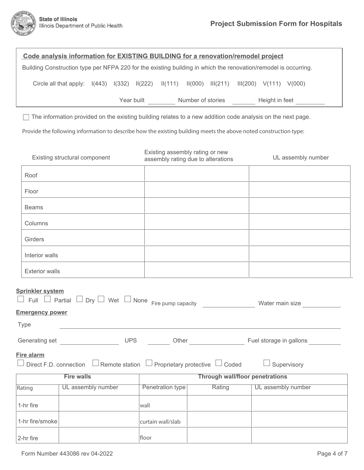| Code analysis information for EXISTING BUILDING for a renovation/remodel project                                                                                |                                                                                              |  |  |       |                                                                       |  |        |  |  |                                                                            |  |
|-----------------------------------------------------------------------------------------------------------------------------------------------------------------|----------------------------------------------------------------------------------------------|--|--|-------|-----------------------------------------------------------------------|--|--------|--|--|----------------------------------------------------------------------------|--|
| Building Construction type per NFPA 220 for the existing building in which the renovation/remodel is occurring.                                                 |                                                                                              |  |  |       |                                                                       |  |        |  |  |                                                                            |  |
|                                                                                                                                                                 | Circle all that apply: I(443) I(332) II(222) II(111) II(000) III(211) III(200) V(111) V(000) |  |  |       |                                                                       |  |        |  |  |                                                                            |  |
|                                                                                                                                                                 |                                                                                              |  |  |       |                                                                       |  |        |  |  | Year built ___________ Number of stories __________ Height in feet _______ |  |
| The information provided on the existing building relates to a new addition code analysis on the next page.                                                     |                                                                                              |  |  |       |                                                                       |  |        |  |  |                                                                            |  |
| Provide the following information to describe how the existing building meets the above noted construction type:                                                |                                                                                              |  |  |       |                                                                       |  |        |  |  |                                                                            |  |
|                                                                                                                                                                 | Existing structural component                                                                |  |  |       | Existing assembly rating or new<br>assembly rating due to alterations |  |        |  |  | UL assembly number                                                         |  |
| Roof                                                                                                                                                            |                                                                                              |  |  |       |                                                                       |  |        |  |  |                                                                            |  |
| Floor                                                                                                                                                           |                                                                                              |  |  |       |                                                                       |  |        |  |  |                                                                            |  |
| <b>Beams</b>                                                                                                                                                    |                                                                                              |  |  |       |                                                                       |  |        |  |  |                                                                            |  |
| Columns                                                                                                                                                         |                                                                                              |  |  |       |                                                                       |  |        |  |  |                                                                            |  |
| Girders                                                                                                                                                         |                                                                                              |  |  |       |                                                                       |  |        |  |  |                                                                            |  |
| Interior walls                                                                                                                                                  |                                                                                              |  |  |       |                                                                       |  |        |  |  |                                                                            |  |
| <b>Exterior walls</b>                                                                                                                                           |                                                                                              |  |  |       |                                                                       |  |        |  |  |                                                                            |  |
| <b>Sprinkler system</b><br>$\Box$ Full $\Box$ Partial $\Box$ Dry $\Box$ Wet $\Box$ None Fire pump capacity<br>Water main size<br><b>Emergency power</b><br>Type |                                                                                              |  |  |       |                                                                       |  |        |  |  |                                                                            |  |
|                                                                                                                                                                 | Generating set __________________<br><b>UPS</b>                                              |  |  |       |                                                                       |  |        |  |  |                                                                            |  |
| Fire alarm<br>Direct F.D. connection $\Box$ Remote station $\Box$ Proprietary protective $\Box$ Coded<br>Supervisory                                            |                                                                                              |  |  |       |                                                                       |  |        |  |  |                                                                            |  |
| <b>Fire walls</b>                                                                                                                                               |                                                                                              |  |  |       | <b>Through wall/floor penetrations</b>                                |  |        |  |  |                                                                            |  |
| Rating                                                                                                                                                          | UL assembly number                                                                           |  |  |       | Penetration type                                                      |  | Rating |  |  | UL assembly number                                                         |  |
| 1-hr fire                                                                                                                                                       |                                                                                              |  |  | wall  |                                                                       |  |        |  |  |                                                                            |  |
| 1-hr fire/smoke                                                                                                                                                 |                                                                                              |  |  |       | curtain wall/slab                                                     |  |        |  |  |                                                                            |  |
| 2-hr fire                                                                                                                                                       |                                                                                              |  |  | floor |                                                                       |  |        |  |  |                                                                            |  |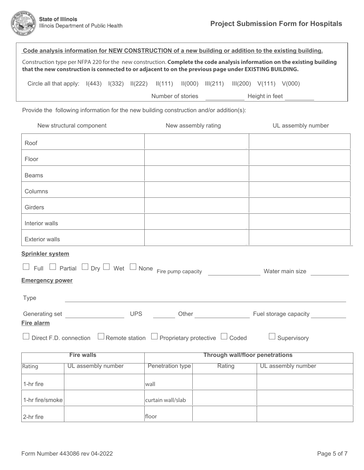|                                                                                                                                 |                    |  |  |  | Code analysis information for NEW CONSTRUCTION of a new building or addition to the existing building. |                     |        |  |                                                                                                                          |
|---------------------------------------------------------------------------------------------------------------------------------|--------------------|--|--|--|--------------------------------------------------------------------------------------------------------|---------------------|--------|--|--------------------------------------------------------------------------------------------------------------------------|
|                                                                                                                                 |                    |  |  |  | that the new construction is connected to or adjacent to on the previous page under EXISTING BUILDING. |                     |        |  | Construction type per NFPA 220 for the new construction. Complete the code analysis information on the existing building |
|                                                                                                                                 |                    |  |  |  | Circle all that apply: I(443) I(332) II(222) II(111) II(000) III(211) III(200) V(111) V(000)           |                     |        |  |                                                                                                                          |
|                                                                                                                                 |                    |  |  |  | Number of stories                                                                                      |                     |        |  | Height in feet<br><u>________</u>                                                                                        |
|                                                                                                                                 |                    |  |  |  | Provide the following information for the new building construction and/or addition(s):                |                     |        |  |                                                                                                                          |
| New structural component                                                                                                        |                    |  |  |  |                                                                                                        | New assembly rating |        |  | UL assembly number                                                                                                       |
| Roof                                                                                                                            |                    |  |  |  |                                                                                                        |                     |        |  |                                                                                                                          |
| Floor                                                                                                                           |                    |  |  |  |                                                                                                        |                     |        |  |                                                                                                                          |
| <b>Beams</b>                                                                                                                    |                    |  |  |  |                                                                                                        |                     |        |  |                                                                                                                          |
| Columns                                                                                                                         |                    |  |  |  |                                                                                                        |                     |        |  |                                                                                                                          |
| Girders                                                                                                                         |                    |  |  |  |                                                                                                        |                     |        |  |                                                                                                                          |
| Interior walls                                                                                                                  |                    |  |  |  |                                                                                                        |                     |        |  |                                                                                                                          |
| <b>Exterior walls</b>                                                                                                           |                    |  |  |  |                                                                                                        |                     |        |  |                                                                                                                          |
| <b>Sprinkler system</b>                                                                                                         |                    |  |  |  |                                                                                                        |                     |        |  |                                                                                                                          |
| Partial $\Box$ Dry $\Box$ Wet $\Box$ None Fire pump capacity<br>$Full \Box$<br>Water main size                                  |                    |  |  |  |                                                                                                        |                     |        |  |                                                                                                                          |
| <b>Emergency power</b>                                                                                                          |                    |  |  |  |                                                                                                        |                     |        |  |                                                                                                                          |
| <b>Type</b>                                                                                                                     |                    |  |  |  |                                                                                                        |                     |        |  |                                                                                                                          |
|                                                                                                                                 |                    |  |  |  |                                                                                                        |                     |        |  |                                                                                                                          |
| <b>Fire alarm</b><br>Direct F.D. connection $\Box$ Remote station $\Box$ Proprietary protective $\Box$ Coded $\Box$ Supervisory |                    |  |  |  |                                                                                                        |                     |        |  |                                                                                                                          |
| <b>Fire walls</b><br><b>Through wall/floor penetrations</b>                                                                     |                    |  |  |  |                                                                                                        |                     |        |  |                                                                                                                          |
| Rating                                                                                                                          | UL assembly number |  |  |  | Penetration type                                                                                       |                     | Rating |  | UL assembly number                                                                                                       |
| 1-hr fire                                                                                                                       |                    |  |  |  | wall                                                                                                   |                     |        |  |                                                                                                                          |
| 1-hr fire/smoke                                                                                                                 |                    |  |  |  | curtain wall/slab                                                                                      |                     |        |  |                                                                                                                          |
| 2-hr fire                                                                                                                       |                    |  |  |  | floor                                                                                                  |                     |        |  |                                                                                                                          |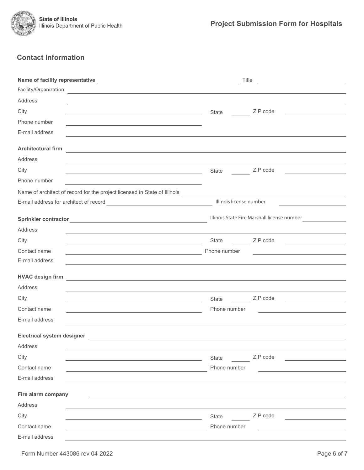

# **Contact Information**

|                                                                                                                                                | Title                                       | <u> 1989 - Johann Stoff, fransk politik (d. 1989)</u>         |  |
|------------------------------------------------------------------------------------------------------------------------------------------------|---------------------------------------------|---------------------------------------------------------------|--|
| Facility/Organization<br><u> 1989 - Johann Stoff, deutscher Stoff, der Stoff, der Stoff, der Stoff, der Stoff, der Stoff, der Stoff, der S</u> |                                             |                                                               |  |
| Address                                                                                                                                        |                                             |                                                               |  |
| City<br><u> 1989 - Johann Barbara, martxa alemani</u> ar a                                                                                     | State                                       | ZIP code                                                      |  |
| Phone number                                                                                                                                   |                                             |                                                               |  |
| E-mail address                                                                                                                                 |                                             |                                                               |  |
| <b>Architectural firm</b><br><u> 1980 - Andrea Station Barbara, amerikan personal (h. 1980).</u>                                               |                                             |                                                               |  |
| Address                                                                                                                                        |                                             |                                                               |  |
| City<br><u> 1989 - Johann Barn, fransk politik amerikansk politik (</u>                                                                        | State                                       | ZIP code                                                      |  |
| Phone number<br>the control of the control of the control of the control of the control of the control of                                      |                                             |                                                               |  |
| Name of architect of record for the project licensed in State of Illinois                                                                      |                                             |                                                               |  |
|                                                                                                                                                | Illinois license number                     |                                                               |  |
|                                                                                                                                                | Illinois State Fire Marshall license number |                                                               |  |
| Address                                                                                                                                        |                                             |                                                               |  |
| City                                                                                                                                           |                                             |                                                               |  |
| Contact name<br><u> 1989 - Johann Barn, mars eta bainar eta hiri eta hiri eta hiri eta hiri eta hiri eta hiri eta hiri eta hiri</u>            | Phone number                                | <u> 1989 - Johann Stein, fransk politik (d. 1989)</u>         |  |
| E-mail address                                                                                                                                 |                                             |                                                               |  |
| <b>HVAC design firm</b><br><u> 1989 - Andrea Barbara, Amerikaansk politiker († 1908)</u>                                                       |                                             |                                                               |  |
| Address                                                                                                                                        |                                             |                                                               |  |
| City<br><u> 1989 - Johann Barn, mars ann an t-Amhain Aonaich an t-Aonaich an t-Aonaich an t-Aonaich an t-Aonaich ann an t-</u>                 | State                                       | ZIP code<br><u> 1989 - Andrea State Barbara, amerikan per</u> |  |
| Contact name<br><u> 1980 - Johann Barn, fransk politik (d. 1980)</u>                                                                           | Phone number                                |                                                               |  |
| E-mail address                                                                                                                                 |                                             |                                                               |  |
| <b>Electrical system designer</b>                                                                                                              |                                             |                                                               |  |
| Address                                                                                                                                        |                                             |                                                               |  |
| City                                                                                                                                           | State                                       | ZIP code                                                      |  |
| Contact name                                                                                                                                   | Phone number                                |                                                               |  |
| E-mail address                                                                                                                                 |                                             |                                                               |  |
| Fire alarm company                                                                                                                             |                                             |                                                               |  |
| Address                                                                                                                                        |                                             |                                                               |  |
| City                                                                                                                                           | State                                       | ZIP code                                                      |  |
| Contact name                                                                                                                                   | Phone number                                |                                                               |  |
| E-mail address                                                                                                                                 |                                             |                                                               |  |